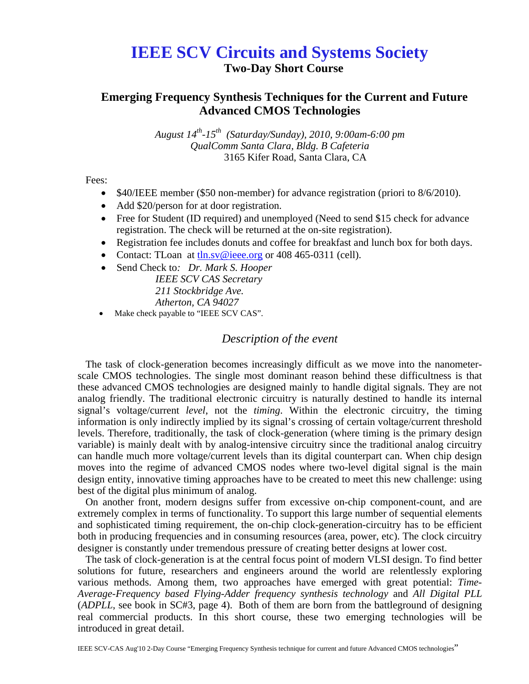# **IEEE SCV Circuits and Systems Society**

**Two-Day Short Course** 

# **Emerging Frequency Synthesis Techniques for the Current and Future Advanced CMOS Technologies**

*August 14th-15th (Saturday/Sunday), 2010, 9:00am-6:00 pm QualComm Santa Clara, Bldg. B Cafeteria*  3165 Kifer Road, Santa Clara, CA

Fees:

- \$40/IEEE member (\$50 non-member) for advance registration (priori to 8/6/2010).
- Add \$20/person for at door registration.
- Free for Student (ID required) and unemployed (Need to send \$15 check for advance registration. The check will be returned at the on-site registration).
- Registration fee includes donuts and coffee for breakfast and lunch box for both days.
- Contact: TLoan at the sv@ieee.org or 408 465-0311 (cell).
- Send Check to*: Dr. Mark S. Hooper IEEE SCV CAS Secretary 211 Stockbridge Ave. Atherton, CA 94027*
- Make check payable to "IEEE SCV CAS".

# *Description of the event*

The task of clock-generation becomes increasingly difficult as we move into the nanometerscale CMOS technologies. The single most dominant reason behind these difficultness is that these advanced CMOS technologies are designed mainly to handle digital signals. They are not analog friendly. The traditional electronic circuitry is naturally destined to handle its internal signal's voltage/current *level*, not the *timing*. Within the electronic circuitry, the timing information is only indirectly implied by its signal's crossing of certain voltage/current threshold levels. Therefore, traditionally, the task of clock-generation (where timing is the primary design variable) is mainly dealt with by analog-intensive circuitry since the traditional analog circuitry can handle much more voltage/current levels than its digital counterpart can. When chip design moves into the regime of advanced CMOS nodes where two-level digital signal is the main design entity, innovative timing approaches have to be created to meet this new challenge: using best of the digital plus minimum of analog.

On another front, modern designs suffer from excessive on-chip component-count, and are extremely complex in terms of functionality. To support this large number of sequential elements and sophisticated timing requirement, the on-chip clock-generation-circuitry has to be efficient both in producing frequencies and in consuming resources (area, power, etc). The clock circuitry designer is constantly under tremendous pressure of creating better designs at lower cost.

The task of clock-generation is at the central focus point of modern VLSI design. To find better solutions for future, researchers and engineers around the world are relentlessly exploring various methods. Among them, two approaches have emerged with great potential: *Time-Average-Frequency based Flying-Adder frequency synthesis technology* and *All Digital PLL*  (*ADPLL*, see book in SC#3, page 4). Both of them are born from the battleground of designing real commercial products. In this short course, these two emerging technologies will be introduced in great detail.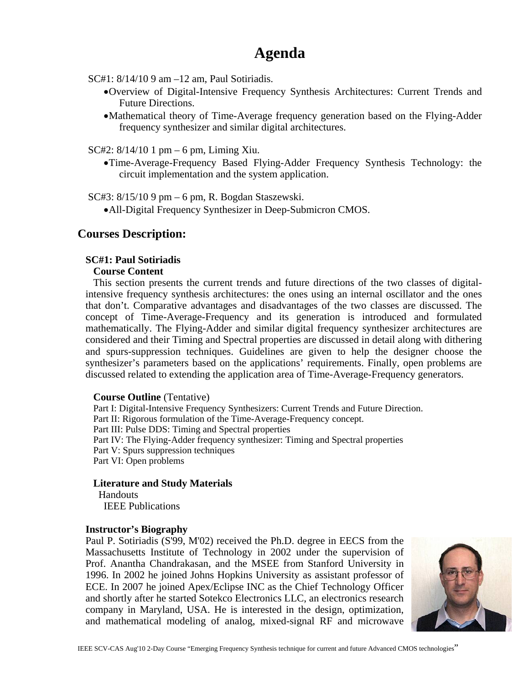# **Agenda**

SC#1: 8/14/10 9 am –12 am, Paul Sotiriadis.

- •Overview of Digital-Intensive Frequency Synthesis Architectures: Current Trends and Future Directions.
- •Mathematical theory of Time-Average frequency generation based on the Flying-Adder frequency synthesizer and similar digital architectures.

SC#2: 8/14/10 1 pm – 6 pm, Liming Xiu.

•Time-Average-Frequency Based Flying-Adder Frequency Synthesis Technology: the circuit implementation and the system application.

SC#3: 8/15/10 9 pm – 6 pm, R. Bogdan Staszewski.

•All-Digital Frequency Synthesizer in Deep-Submicron CMOS.

## **Courses Description:**

#### **SC#1: Paul Sotiriadis**

#### **Course Content**

This section presents the current trends and future directions of the two classes of digitalintensive frequency synthesis architectures: the ones using an internal oscillator and the ones that don't. Comparative advantages and disadvantages of the two classes are discussed. The concept of Time-Average-Frequency and its generation is introduced and formulated mathematically. The Flying-Adder and similar digital frequency synthesizer architectures are considered and their Timing and Spectral properties are discussed in detail along with dithering and spurs-suppression techniques. Guidelines are given to help the designer choose the synthesizer's parameters based on the applications' requirements. Finally, open problems are discussed related to extending the application area of Time-Average-Frequency generators.

#### **Course Outline** (Tentative)

Part I: Digital-Intensive Frequency Synthesizers: Current Trends and Future Direction. Part II: Rigorous formulation of the Time-Average-Frequency concept. Part III: Pulse DDS: Timing and Spectral properties Part IV: The Flying-Adder frequency synthesizer: Timing and Spectral properties Part V: Spurs suppression techniques Part VI: Open problems

#### **Literature and Study Materials**

Handouts IEEE Publications

#### **Instructor's Biography**

Paul P. Sotiriadis (S'99, M'02) received the Ph.D. degree in EECS from the Massachusetts Institute of Technology in 2002 under the supervision of Prof. Anantha Chandrakasan, and the MSEE from Stanford University in 1996. In 2002 he joined Johns Hopkins University as assistant professor of ECE. In 2007 he joined Apex/Eclipse INC as the Chief Technology Officer and shortly after he started Sotekco Electronics LLC, an electronics research company in Maryland, USA. He is interested in the design, optimization, and mathematical modeling of analog, mixed-signal RF and microwave

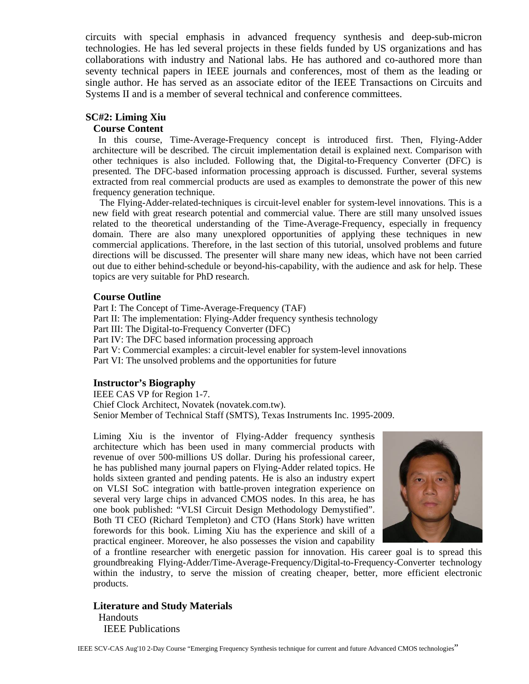circuits with special emphasis in advanced frequency synthesis and deep-sub-micron technologies. He has led several projects in these fields funded by US organizations and has collaborations with industry and National labs. He has authored and co-authored more than seventy technical papers in IEEE journals and conferences, most of them as the leading or single author. He has served as an associate editor of the IEEE Transactions on Circuits and Systems II and is a member of several technical and conference committees.

#### **SC#2: Liming Xiu**

#### **Course Content**

In this course, Time-Average-Frequency concept is introduced first. Then, Flying-Adder architecture will be described. The circuit implementation detail is explained next. Comparison with other techniques is also included. Following that, the Digital-to-Frequency Converter (DFC) is presented. The DFC-based information processing approach is discussed. Further, several systems extracted from real commercial products are used as examples to demonstrate the power of this new frequency generation technique.

The Flying-Adder-related-techniques is circuit-level enabler for system-level innovations. This is a new field with great research potential and commercial value. There are still many unsolved issues related to the theoretical understanding of the Time-Average-Frequency, especially in frequency domain. There are also many unexplored opportunities of applying these techniques in new commercial applications. Therefore, in the last section of this tutorial, unsolved problems and future directions will be discussed. The presenter will share many new ideas, which have not been carried out due to either behind-schedule or beyond-his-capability, with the audience and ask for help. These topics are very suitable for PhD research.

#### **Course Outline**

Part I: The Concept of Time-Average-Frequency (TAF) Part II: The implementation: Flying-Adder frequency synthesis technology Part III: The Digital-to-Frequency Converter (DFC) Part IV: The DFC based information processing approach Part V: Commercial examples: a circuit-level enabler for system-level innovations Part VI: The unsolved problems and the opportunities for future

## **Instructor's Biography**

IEEE CAS VP for Region 1-7. Chief Clock Architect, Novatek (novatek.com.tw). Senior Member of Technical Staff (SMTS), Texas Instruments Inc. 1995-2009.

Liming Xiu is the inventor of Flying-Adder frequency synthesis architecture which has been used in many commercial products with revenue of over 500-millions US dollar. During his professional career, he has published many journal papers on Flying-Adder related topics. He holds sixteen granted and pending patents. He is also an industry expert on VLSI SoC integration with battle-proven integration experience on several very large chips in advanced CMOS nodes. In this area, he has one book published: "VLSI Circuit Design Methodology Demystified". Both TI CEO (Richard Templeton) and CTO (Hans Stork) have written forewords for this book. Liming Xiu has the experience and skill of a practical engineer. Moreover, he also possesses the vision and capability



of a frontline researcher with energetic passion for innovation. His career goal is to spread this groundbreaking Flying-Adder/Time-Average-Frequency/Digital-to-Frequency-Converter technology within the industry, to serve the mission of creating cheaper, better, more efficient electronic products.

**Literature and Study Materials** Handouts IEEE Publications